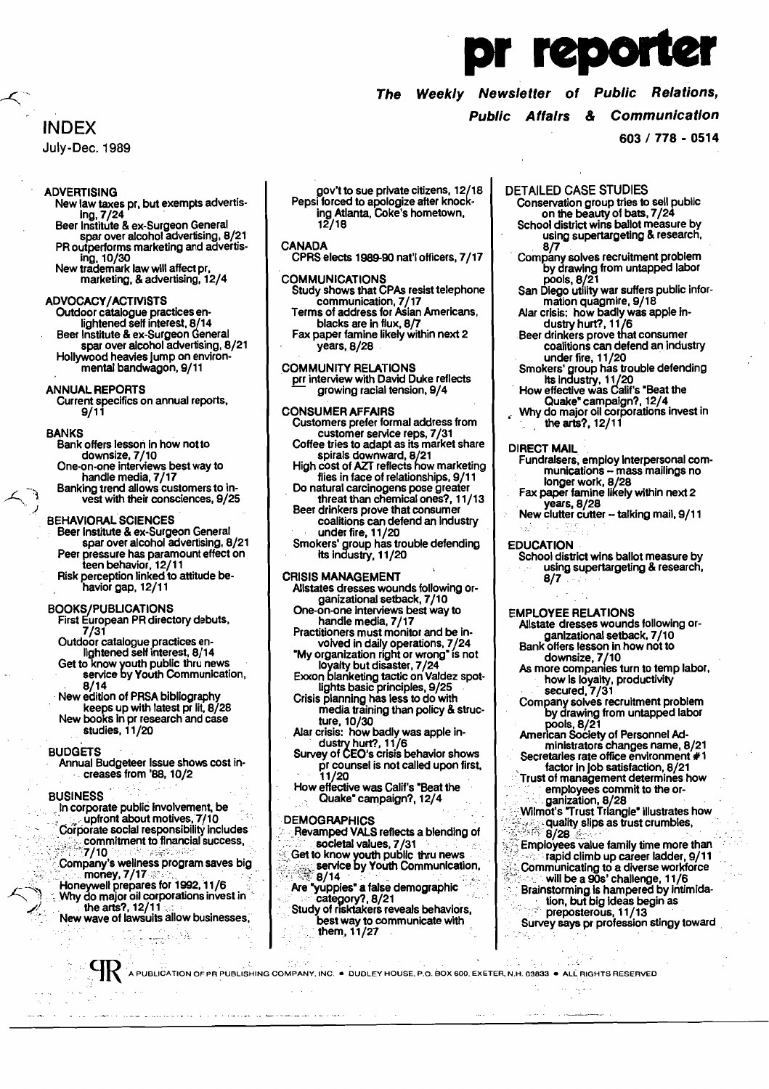# reporte

### Weekly Newsletter of Public Relations, **The**

### **Public Affairs & Communication**

603 / 778 - 0514

**INDEX** 

July-Dec. 1989

### **ADVERTISING**

- New law taxes pr, but exempts advertising, 7/24
- Beer Institute & ex-Surgeon General spar over alcohol advertising, 8/21 PR outperforms marketing and advertising. 10/30
- New trademark law will affect pr, marketing, & advertising, 12/4

### **ADVOCACY/ACTIVISTS**

Outdoor catalogue practices en-<br>lightened self interest, 8/14 Beer Institute & ex-Surgeon General spar over alcohol advertising, 8/21 Hollywood heavies jump on environ-<br>mental bandwagon, 9/11

### **ANNUAL REPORTS**

Current specifics on annual reports,<br>9/11

### **BANKS**

- ANKS<br>Bank offers lesson in how not to<br>downsize, 7/10<br>One-on-one interviews best way to<br>handle media, 7/17<br>Banking trend allows customers to in-<br>vest with their consciences, 9/25
- **BEHAVIORAL SCIENCES**
- Entertainment Science<br>
Seer Institute & ex-Surgeon General<br>
spar over alcohol advertising, 8/21<br>
Peer pressure has paramount effect on<br>
teen behavior, 12/11<br>
Risk perception linked to attitude be-
- 
- havior gap, 12/11

- BOOKS/PUBLICATIONS<br>First European PR directory debuts,  $7/31$ 
	-
	- Outdoor catalogue practices en-<br>lightened self interest, 8/14<br>Get to know youth public thru news<br>service by Youth Communication,  $8/14$
	- New edition of PRSA bibliography
	- keeps up with latest pr lit, 8/28 New books in pr research and case studies, 11/20

### **BUDGETS**

Annual Budgeteer Issue shows cost increases from '88, 10/2

### **BUSINESS**

- In corporate public involvement, be<br>completed about motives, 7/10  $\frac{1}{2}$  Corporate social responsibility includes
- $7/10$
- Company's wellness program saves big money,  $7/17$
- Honeywell prepares for 1992, 11/6<br>Why do major oil corporations invest in the arts?, 12/11

New wave of lawsuits allow businesses, **The Couple** 

فتعقده المرادا مقمسم فللمستخدم فسلاتها المقرود سادراه الرازيان الهارا لقادم فالمرتبة الكروريين السمساويات والمستحققات

gov't to sue private citizens, 12/18<br>Pepsi forced to apologize after knock-<br>ing Atlanta, Coke's hometown,<br>12/18

### **CANADA**

CPRS elects 1989-90 nat'l officers, 7/17

- COMMUNICATIONS<br>Study shows that CPAs resist telephone communication, 7/17<br>Terms of address for Asian Americans, blacks are in flux, 8/7
- Fax paper famine likely within next 2 vears, 8/28
- 
- COMMUNITY RELATIONS<br>pri interview with David Duke reflects<br>growing racial tension, 9/4

- CONSUMER AFFAIRS<br>
Customers prefer formal address from<br>
customer service reps, 7/31<br>
Coffee tries to adapt as its market share<br>
spirals downward, 8/21<br>
High cost of AZT reflects how marketing<br>
flies in face of relationship
	-
	-
	- Beer drinkers prove that consumer<br>coalitions can defend an industry under fire, 11/20
		-
- Smokers' group has trouble defending<br>its industry, 11/20

### **CRISIS MANAGEMENT**

- Allstates dresses wounds following organizational setback, 7/10
- One-on-one interviews best way to handle media, 7/17
- Practitioners must monitor and be in-
- voived in daily operations, 7/24<br>"My organization right or wrong" is not<br>"My organization right or wrong" is not
- 
- Exxon blanketing tactic on Valdez spot-<br>lights basic principles, 9/25<br>Crisis planning has less to do with<br>media training than policy & struc-
- ture, 10/30<br>Alar crisis: how badly was apple industry hurt?, 11/6<br>Survey of CEO's crisis behavior shows
- pr counsel is not called upon first, 11/20
- How effective was Calif's "Beat the<br>Quake" campaign?, 12/4

### **DEMOGRAPHICS**

- Revamped VALS reflects a blending of
- societal values, 7/31<br>Get to know youth public thru news<br>service by Youth Communication,  $\frac{3}{8}$  8/14
- Are "yuppies" a false demographic<br>``` category?, 8/21<br>Study of risktakers reveals behaviors,
- best way to communicate with<br>them, 11/27

### **DETAILED CASE STUDIES**

- Conservation group tries to sell public on the beauty of bats, 7/24
- School district wins ballot measure by using supertargeting & research,  $8/7$
- Company solves recruitment problem by drawing from untapped labor pools, 8/21
- San Diego utility war suffers public information quagmire, 9/18
- Alar crisis: how badly was apple in-
- dustry hurt?, 11/6<br>Beer drinkers prove that consumer<br>coalitions can defend an industry
- coalitions can detend an industry<br>under fire, 11/20<br>Smokers' group has trouble defending<br>its industry, 11/20<br>How effective was Calif's "Beat the<br>Quake" campaign?, 12/4<br>Why do major oil corporations invest in<br>the arts?, 12/
- 
- 

### **DIRECT MAIL**

- Fundralsers, employ interpersonal communications – mass mailings no<br>longer work, 8/28<br>Fax paper famine likely within next 2
- years, 8/28
- New clutter cutter -- talking mail, 9/11

### **EDUCATION**

School district wins ballot measure by using supertargeting & research, 8/7

**EMPLOYEE RELATIONS** 

- Allstate dresses wounds following or-Alistac directional setback, 7/10<br>Bank offers lesson in how not to<br>downsize, 7/10<br>As more companies turn to temp labor,
- 
- 
- As more companies tarm to temp labor<br>how is loyalty, productivity<br>secured, 7/31<br>Company solves recruitment problem<br>by drawing from untapped labor
- pools, 8/21<br>American Society of Personnel Administrators changes name, 8/21<br>Secretaries rate office environment #1
- factor in job satisfaction, 8/21
- ractor in job satisfaction, 8/21<br>Trust of management determines how<br>employees commit to the or-<br>ganization, 8/28<br>Wilmot's "Trust Triangle" illustrates how<br> $\frac{q}{q}$  and the site of the same of the same of the same of the s
- $8/28$
- Employees value family time more than<br> $\sim$  rapid climb up career ladder, 9/11
- 
- Communicating to a diverse workforce<br>will be a 90s' challenge, 11/6<br>Brainstorming is hampered by intimida-<br>tion, but big ideas begin as
- provided by the Digital Company<br>Survey says pr profession stingy toward

A PUBLICATION OF PR PUBLISHING COMPANY, INC. . DUDLEY HOUSE, P.O. BOX 600, EXETER, N.H. 03833 . ALL RIGHTS RESERVED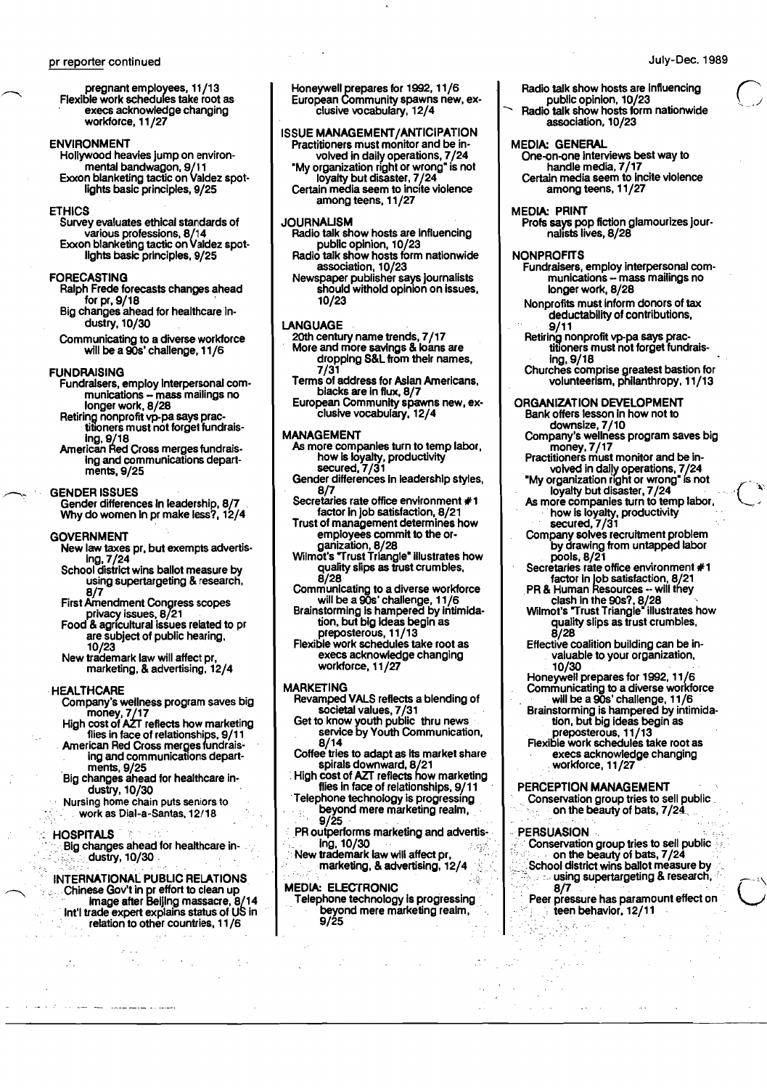pregnant employees, 11/13 Flexible work schedules take root as execs acknowledge changing workforce, 11/27

### ENVIRONMENT

Hollywood heavies jump on environmental bandwagon, 9/11 Exxon blanketing tactic on Valdez spot lights basic principles, 9/25

### ETHICS

Survey evaluates ethical standards of various professions, 8/14 Exxon blanketing tactic on Valdez spot lights basic principles, 9/25

### FORECASTING

- Ralph Frede forecasts changes ahead for pr, 9/18 '
- Big changes ahead for healthcare industry, 10/30
- Communicating to a diverse workforce will be a 90s' challenge, 11/6

### **FUNDRAISING**

- Fundralsers, employ Interpersonal communications - mass mailings no longer work, 8/28
- Retiring nonprofit vp-pa says practitioners must not forgel tundraislng, 9/18 American Red Cross merges tundrais-
- Ing and communications departments, 9/25

### GENDER ISSUES

Gender differences In leadership, 8/7 . Why do women In pr make less?, 12/4

### GOVERNMENT

- New law taxes pr, but exempts advertislng, 7/24
- School district wins ballot measure by using supertargeting & research, 8/7
- First Amendment Congress scopes privacy issues, 8/21
- Food & agricultural issues related to pr are subject of public hearing, 10/23
- New trademark law will affect pr, marketing, & advertising, 12/4

### **HEALTHCARE**

- Company's wellness program saves big money, 7/17
- High cost of AZT reflects how marketing flies in face of relationships, 9/11 American Red Cross merges fundrais- .
- ing and communications depart . ments, 9/25
- Big changes ahead for healthcare industry, 10/30
- Nursing home chain puts seniors to work as Dial-a-Santas, 12/18

### **HOSPITALS**

Big changes ahead for healthcare industry, 10/30

## INTERNATIONAL PUBUC RELATIONS '.' .Chinese Gov't in pr effort to clean up . . . .. Image after Belling massacre, 8/14 Int'l trade expert explains status of us in .' relation to other countries, 11/6

Honeywell prepares for 1992, 11/6 European Community spawns new, exclusive vocabulary, 12/4

### ISSUE MANAGEMENT/ANTICIPATION Practitioners must monitor and be in-

volved in daily operations, 7/24 "My organization right or wrong" is not loyalty but disaster, 7/24 Certain media seem to incite violence

among teens, 11/27

### JOURNAUSM Radio talk show hosts are influencing

- public opinion, 10/23 Radio talk show hosts form nationwide association, 10/23
- Newspaper publisher says journalists should withold opinion on issues, 10/23

### LANGUAGE

- 20th century name trends, 7/17 More and more savings & loans are dropping S&L from their names, 7/31
- Terms of address for Asian Americans, blacks are in flux, 8/7 European Community spawns new, ex-
- clusive vocabulary, 12/4

### MANAGEMENT

- As more companies turn to temp labor, how is loyalty, productivity secured, 7/31
- Gender differences in leadership styles, 8/7
- Secretaries rate office environment #1 factor In job satisfaction, 8/21
- Trust of management determines how employees commit to the organlzation, 8/28
- Wilmot's "Trust Triangle" Illustrates how quality slips as trust crumbles,
- 8/28 Communicating to a diverse workforce will be a 90s' challenge, 11/6
- Brainstorming Is hampered by Intimidation, but big Ideas begin as preposterous, 11/13
- Flexible work schedules take root as execs acknowledge changing workforce, 11/27

### MARKETING

- Revamped VALS reflects a blending of societal values, 7/31 .
- Get to know youth public thru news . service by Youth Communication, 8/14
- Coffee tries to adapt as its market share

spirals downward, 8/21 •High cost of AIr reflects how marketing flies in face of relationships, 9/11

- .Telephone technology is progressing beyond mere marketing realm,<br>9/25
- PR outperforms marketing and advertis-
- lng, 10/30 ,,' ." New trademark law will affect pr, " marketing, & advertising, 12/4

MEDIA: ELECTRONIC<br>Telephone technology is progressing Telephone technology is progressing<br>beyond mere marketing realm, 9/25

- Radio talk show hosts are influencing
- public opinion, 10/23<br>
A Radio talk show hosts form nationwide association, 10/23

### MEDIA: GENERAL

One-on-one Interviews best way to handle media, 7/17 Certain media seem to Incite violence among teens, 11/27

### MEDIA: PRINT

Profs says pop fiction glamourizes jour<br>nalists lives, 8/28

### **NONPROFITS**

- Fundraisers, employ Interpersonal com munications - mass mailings no longer work, 8/28
- Nonproflts must Inform donors of tax deductability of contributions, 9/11
- Retiring nonprofit vp-pa says prac-<br>titioners must not forget fundrais-<br>ing, 9/18
- Churches comprise greatest bastion for volunteerism, philanthropy, 11/13

### ORGANIZATION DEVELOPMENT

- Bank offers lesson in how not to downsize, 7/10
- Company's wellness program saves big money, 7/17 Practitioners must monitor and be in
- volved in daily operations, 7/24
- "My organization right or wrong" is not<br>loyalty but disaster, 7/24

 $\mathcal{L}$ 

 $\frac{1}{2}$ 

- As more companies turn to temp labor, <sup>&</sup>lt; ... how is loyalty, productivity ... secured, 7/31
- Company solves recruitment problem pany solves recruitment problem<br>by drawing from untapped labor pools, 8/21 Secretaries rate office environment #1
- factor in job satisfaction, 8/21
- $PR$  & Human Resources  $\sim$  will they
- clash in the 90s?, 8/28<br>Wilmot's "Trust Triangle" illustrates how quality slips as trust crumbles, 8/28
- Effective coalition building can be in · valuable to your organization, · 10/30 . .' Honeywell prepares for 1992, 11/6
- Communicating to a diverse workforce
- will be a 90s' challenge, 11/6 Brainstorming is hampered by intimida-
- tion, but big ideas begin as preposterous, 11/13 Flexible work schedules take root as
- execs acknowledge changing workforce, 11/27

### PERCEPTION MANAGEMENT

. Conservation group tries to sell public . on the beauty of bats, 7/24

### PERSUASION

. . . . . : . . : . . : . .  $\mathcal{E}$ 

:~\_.

 $\mathbb{R}^2$ : Conservation group tries to sell public  $\mathbb{R}^2$ .  $\sim$  on the beauty of bats,  $7/24$  $\odot$ : School district wins ballot measure by , :~." .' •" using supertargeting & research, '. 8/7.' ". .

Peer pressure has paramount effect on · teen behavior. 12/11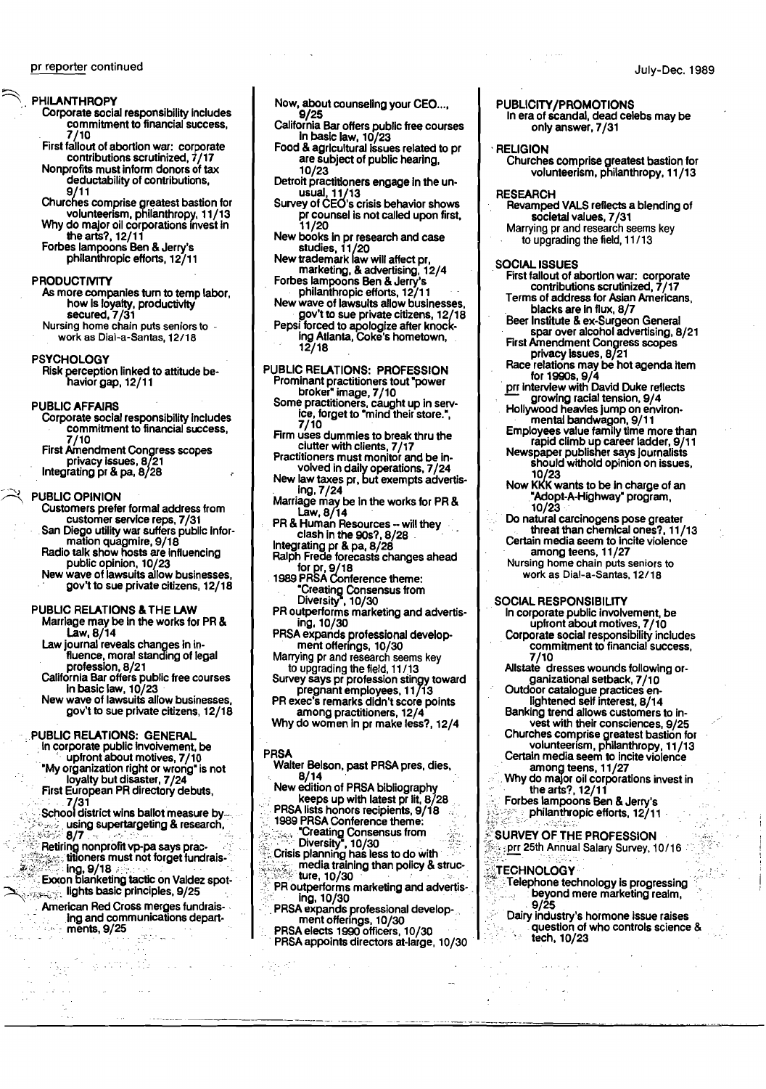- Corporate social responsibility includes commitment to financial success. 7/10
- First fallout of abortion war: corporate<br>contributions scrutinized, 7/17

Nonprofits must inform donors of tax deductability of contributions.

Churches comprise greatest bastion for volunteerism, philanthropy, 11/13<br>Why do major oil corporations invest in

the arts?, 12/11 Forbes lampoons Ben & Jerry's philanthropic efforts, 12/11

### **PRODUCTIVITY**

- As more companies turn to temp labor, how is loyalty, productivity secured, 7/31
- Nursing home chain puts seniors to work as Dial-a-Santas, 12/18

### **PSYCHOLOGY**

Risk perception linked to attitude be-<br>havior gap, 12/11

### **PUBLIC AFFAIRS**

- Corporate social responsibility includes commitment to financial success. 7/10 First Amendment Congress scopes
- privacy issues, 8/21 Integrating pr & pa, 8/28

### **PUBLIC OPINION**

- Customers prefer formal address from Customers prefer formal about 200 pm.<br>Customer service reps, 7/31<br>San Diego utility war suffers public infor-
- mation quagmire, 9/18<br>Radio talk show hosts are influencing
- public opinion, 10/23<br>New wave of lawsuits allow businesses,<br>gov't to sue private citizens, 12/18
- 

### PUBLIC RELATIONS & THE LAW

- Marriage may be in the works for PR &  $Law, 8/14$
- Law journal reveals changes in in-<br>fluence, moral standing of legal profession, 8/21
- California Bar offers public free courses<br>in basic law, 10/23
- New wave of lawsuits allow businesses, gov't to sue private citizens, 12/18

- PUBLIC RELATIONS: GENERAL<br>
in corporate public involvement, be<br>
upfront about motives, 7/10 "My organization right or wrong" is not
	- loyalty but disaster, 7/24<br>First European PR directory debuts,  $/31$
	- School district wins ballot measure by using supertargeting & research.  $8/7$
	- Retiring nonprofit vp-pa says practitioners must not forget fundrais-
- Exercise interesting the line of the state interesting the spot-<br>Exercise in the basic principles, 9/25
	- American Red Cross merges fundraising and communications departments, 9/25
- Now, about counseling your CEO...,<br>9/25
- P/25<br>California Bar offers public free courses<br>in basic law, 10/23<br>Food & agricultural issues related to pr
- are subject of public hearing. 10/23
- Detroit practitioners engage in the unusual, 11/13<br>Survey of CEO's crisis behavior shows
- 
- 
- 
- 
- 
- 11/20<br>New books in pr research and case<br>studies, 11/20<br>New trademark law will affect pr,<br>marketing, & advertising, 12/4<br>Forbes lampoons Ben & Jerry's<br>philanthropic efforts, 12/11<br>New wave of lawsuits allow businesses,<br>gov

## PUBLIC RELATIONS: PROFESSION

- Prominant practitioners tout "power<br>Prominant practitioners tout "power<br>broker" image, 7/10<br>Some practitioners, caught up in service, forget to "mind their store.", 7/10
- Firm uses dummies to break thru the clutter with clients, 7/17<br>Practitioners must monitor and be in-
- volved in daily operations, 7/24
- New law taxes pr, but exempts advertising, 7/24
- Marriage may be in the works for PR &
- ER & Human Resources -- will they<br>clash in the 90s?, 8/28<br>Integrating pr & pa, 8/28<br>Ralph Frede forecasts changes ahead
- 
- neiprinted to because one and the top of the state of the state of the state of the state of the state of the s<br>1989 PRSA Conference theme:
- 
- **Example 2018**<br>
"Creating Consensus from<br>
Diversity", 10/30<br>
PR outperforms marketing and advertising, 10/30
- PRSA expands professional development offerings, 10/30
- Marrying pr and research seems key
- Marrying pr and research seems  $\sim$ y<br>to upgrading the field, 11/13<br>Survey says pr profession stingy toward<br>pregnant employees, 11/13<br>PR exers remarks didn't score points
- 
- among practitioners, 12/4<br>Why do women in pr make less?, 12/4

### **PRSA**

- Walter Belson, past PRSA pres, dies,  $8/14$
- New edition of PRSA bibliography keeps up with latest pr lit, 8/28
- PRSA lists honors recipients, 9/18 1989 PRSA Conference theme:
- **Example one and the construction**<br>Crisis planning has less to do with<br>Crisis planning has less to do with<br>the media training than policy & structure
- 
- ture, 10/30
- PR outperforms marketing and advertis-
- 
- PR outperforms marked by and advertising<br>ing, 10/30<br>PRSA expands professional develop-<br>ment offerings, 10/30<br>PRSA elects 1990 officers, 10/30<br>PRSA appoints directors at large, 10/30

### PUBLICITY/PROMOTIONS In era of scandal, dead celebs may be only answer, 7/31

### **RELIGION**

Churches comprise greatest bastion for<br>volunteerism, philanthropy, 11/13

July-Dec. 1989

### **RESEARCH**

- Revamped VALS reflects a blending of societal values, 7/31
- Marrying pr and research seems key to upgrading the field, 11/13

### **SOCIAL ISSUES**

- First fallout of abortion war: corporate contributions scrutinized, 7/17 Terms of address for Asian Americans.
- blacks are in flux, 8/7
- Beer Institute & ex-Surgeon General<br>spar over alcohol advertising, 8/21
- First Amendment Congress scopes<br>privacy issues, 8/21
- Place relations may be not agenda item<br>for 1990s, 9/4<br>pri interview with David Duke reflects
- growing racial tension, 9/4<br>Hollywood heavies jump on environ-
- 
- mental bandwagon, 9/11<br>Employees value family time more than<br>rapid climb up career ladder, 9/11<br>Newspaper publisher says journalists<br>should withold opinion on issues,
- 10/23<br>Now KKK wants to be in charge of an
- "Adopt-A-Highway" program,  $10/23$
- Do natural carcinogens pose greater threat than chemical ones?, 11/13 Certain media seem to incite violence
- among teens, 11/27 Nursing home chain puts seniors to work as Dial-a-Santas, 12/18

### **SOCIAL RESPONSIBILITY**

- In corporate public involvement, be upfront about motives, 7/10
- Corporate social responsibility includes commitment to financial success, 7/10
- Allstate dresses wounds following or-
- dializational setback, 7/10<br>Outdoor catalogue practices en-<br>lightened self interest, 8/14
- Banking trend allows customers to invest with their consciences, 9/25
- 
- vest with their consciences, 9/25<br>Churches comprise greatest bastion for<br>volunteerism, philanthropy, 11/13<br>Certain media seem to incite violence<br>among teens, 11/27<br>Why do major oil corporations invest in<br>the arts?, 12/11
- 
- Forbes lampoons Ben & Jerry's philanthropic efforts, 12/11

### SURVEY OF THE PROFESSION

prr 25th Annual Salary Survey, 10/16

Dairy industry's hormone issue raises

question of who controls science &

### **TECHNOLOGY** Telephone technology is progressing<br>Telephone technology is progressing

 $9/25$ 

tech, 10/23